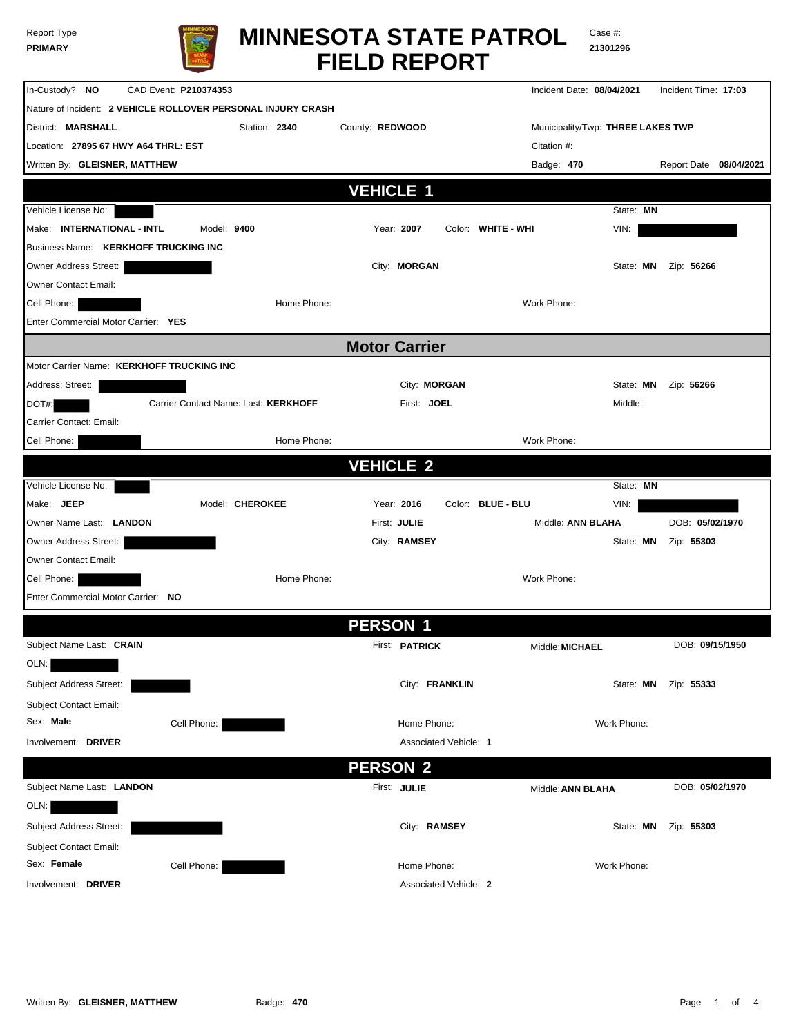| Report Type    |  |
|----------------|--|
| <b>PRIMARY</b> |  |



Case #: **21301296**

| In-Custody? NO                              | CAD Event: P210374353                                        |                       | Incident Date: 08/04/2021         |             | Incident Time: 17:03   |
|---------------------------------------------|--------------------------------------------------------------|-----------------------|-----------------------------------|-------------|------------------------|
|                                             | Nature of Incident: 2 VEHICLE ROLLOVER PERSONAL INJURY CRASH |                       |                                   |             |                        |
| District: MARSHALL                          | Station: 2340                                                | County: REDWOOD       | Municipality/Twp: THREE LAKES TWP |             |                        |
| Location: 27895 67 HWY A64 THRL: EST        |                                                              |                       | Citation #:                       |             |                        |
| Written By: GLEISNER, MATTHEW               |                                                              |                       | Badge: 470                        |             | Report Date 08/04/2021 |
|                                             |                                                              | <b>VEHICLE 1</b>      |                                   |             |                        |
|                                             |                                                              |                       |                                   |             |                        |
| Vehicle License No:                         |                                                              |                       |                                   | State: MN   |                        |
| Make: INTERNATIONAL - INTL                  | Model: 9400                                                  | Year: 2007            | Color: WHITE - WHI                | VIN:        |                        |
| <b>Business Name: KERKHOFF TRUCKING INC</b> |                                                              |                       |                                   |             |                        |
| Owner Address Street:                       |                                                              | City: <b>MORGAN</b>   |                                   | State: MN   | Zip: 56266             |
| <b>Owner Contact Email:</b>                 |                                                              |                       |                                   |             |                        |
| Cell Phone:                                 | Home Phone:                                                  |                       | Work Phone:                       |             |                        |
| Enter Commercial Motor Carrier: YES         |                                                              |                       |                                   |             |                        |
|                                             |                                                              | <b>Motor Carrier</b>  |                                   |             |                        |
| Motor Carrier Name: KERKHOFF TRUCKING INC   |                                                              |                       |                                   |             |                        |
| Address: Street:                            |                                                              | City: MORGAN          |                                   | State: MN   | Zip: 56266             |
| DOT#:                                       | Carrier Contact Name: Last: KERKHOFF                         | First: JOEL           |                                   | Middle:     |                        |
| Carrier Contact: Email:                     |                                                              |                       |                                   |             |                        |
| Cell Phone:                                 | Home Phone:                                                  |                       | Work Phone:                       |             |                        |
|                                             |                                                              | <b>VEHICLE 2</b>      |                                   |             |                        |
| Vehicle License No:                         |                                                              |                       |                                   | State: MN   |                        |
| Make: JEEP                                  | Model: CHEROKEE                                              | Year: 2016            | Color: BLUE - BLU                 | VIN:        |                        |
| Owner Name Last: LANDON                     |                                                              | First: JULIE          | Middle: ANN BLAHA                 |             | DOB: 05/02/1970        |
| Owner Address Street:                       |                                                              | City: RAMSEY          |                                   | State: MN   | Zip: 55303             |
| <b>Owner Contact Email:</b>                 |                                                              |                       |                                   |             |                        |
| Cell Phone:                                 | Home Phone:                                                  |                       | Work Phone:                       |             |                        |
| Enter Commercial Motor Carrier: NO          |                                                              |                       |                                   |             |                        |
|                                             |                                                              |                       |                                   |             |                        |
|                                             |                                                              | <b>PERSON 1</b>       |                                   |             |                        |
| Subject Name Last: CRAIN                    |                                                              | First: <b>PATRICK</b> | Middle: MICHAEL                   |             | DOB: 09/15/1950        |
| OLN:                                        |                                                              |                       |                                   |             |                        |
| Subject Address Street:                     |                                                              | City: FRANKLIN        |                                   | State: MN   | Zip: 55333             |
| Subject Contact Email:                      |                                                              |                       |                                   |             |                        |
| Sex: Male                                   | Cell Phone:                                                  | Home Phone:           |                                   | Work Phone: |                        |
| Involvement: DRIVER                         |                                                              |                       | Associated Vehicle: 1             |             |                        |
|                                             |                                                              |                       |                                   |             |                        |
|                                             |                                                              | <b>PERSON 2</b>       |                                   |             |                        |
| Subject Name Last: LANDON                   |                                                              | First: JULIE          | Middle: ANN BLAHA                 |             | DOB: 05/02/1970        |
| OLN:                                        |                                                              |                       |                                   |             |                        |
| Subject Address Street:                     |                                                              | City: RAMSEY          |                                   | State: MN   | Zip: 55303             |
| Subject Contact Email:                      |                                                              |                       |                                   |             |                        |
| Sex: Female                                 | Cell Phone:                                                  | Home Phone:           |                                   | Work Phone: |                        |
| Involvement: DRIVER                         |                                                              |                       | Associated Vehicle: 2             |             |                        |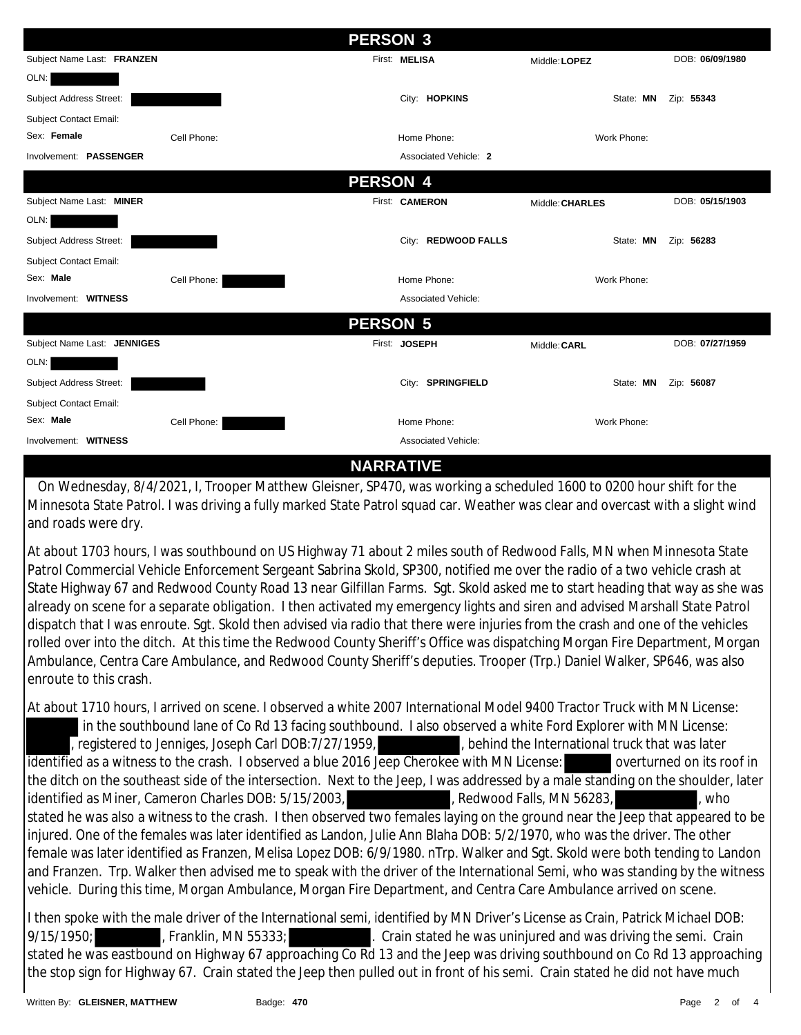|                             |             | <b>PERSON 3</b>       |                 |                 |
|-----------------------------|-------------|-----------------------|-----------------|-----------------|
| Subject Name Last: FRANZEN  |             | First: MELISA         | Middle: LOPEZ   | DOB: 06/09/1980 |
| OLN:                        |             |                       |                 |                 |
| Subject Address Street:     |             | City: HOPKINS         | State: MN       | Zip: 55343      |
| Subject Contact Email:      |             |                       |                 |                 |
| Sex: Female                 | Cell Phone: | Home Phone:           | Work Phone:     |                 |
| Involvement: PASSENGER      |             | Associated Vehicle: 2 |                 |                 |
|                             |             | <b>PERSON 4</b>       |                 |                 |
| Subject Name Last: MINER    |             | First: CAMERON        | Middle: CHARLES | DOB: 05/15/1903 |
| OLN:                        |             |                       |                 |                 |
| Subject Address Street:     |             | City: REDWOOD FALLS   | State: MN       | Zip: 56283      |
| Subject Contact Email:      |             |                       |                 |                 |
| Sex: Male                   | Cell Phone: | Home Phone:           | Work Phone:     |                 |
| Involvement: WITNESS        |             | Associated Vehicle:   |                 |                 |
|                             |             | <b>PERSON 5</b>       |                 |                 |
| Subject Name Last: JENNIGES |             | First: JOSEPH         | Middle: CARL    | DOB: 07/27/1959 |
| OLN:                        |             |                       |                 |                 |
| Subject Address Street:     |             | City: SPRINGFIELD     | State: MN       | Zip: 56087      |
| Subject Contact Email:      |             |                       |                 |                 |
| Sex: Male                   | Cell Phone: | Home Phone:           | Work Phone:     |                 |
| Involvement: WITNESS        |             | Associated Vehicle:   |                 |                 |
|                             |             | <b>NARRATIVE</b>      |                 |                 |

 On Wednesday, 8/4/2021, I, Trooper Matthew Gleisner, SP470, was working a scheduled 1600 to 0200 hour shift for the Minnesota State Patrol. I was driving a fully marked State Patrol squad car. Weather was clear and overcast with a slight wind and roads were dry.

At about 1703 hours, I was southbound on US Highway 71 about 2 miles south of Redwood Falls, MN when Minnesota State Patrol Commercial Vehicle Enforcement Sergeant Sabrina Skold, SP300, notified me over the radio of a two vehicle crash at State Highway 67 and Redwood County Road 13 near Gilfillan Farms. Sgt. Skold asked me to start heading that way as she was already on scene for a separate obligation. I then activated my emergency lights and siren and advised Marshall State Patrol dispatch that I was enroute. Sgt. Skold then advised via radio that there were injuries from the crash and one of the vehicles rolled over into the ditch. At this time the Redwood County Sheriff's Office was dispatching Morgan Fire Department, Morgan Ambulance, Centra Care Ambulance, and Redwood County Sheriff's deputies. Trooper (Trp.) Daniel Walker, SP646, was also enroute to this crash.

At about 1710 hours, I arrived on scene. I observed a white 2007 International Model 9400 Tractor Truck with MN License: in the southbound lane of Co Rd 13 facing southbound. I also observed a white Ford Explorer with MN License: , registered to Jenniges, Joseph Carl DOB:7/27/1959,  $\overline{\phantom{a}}$  , behind the International truck that was later identified as a witness to the crash. I observed a blue 2016 Jeep Cherokee with MN License: overturned on its roof in the ditch on the southeast side of the intersection. Next to the Jeep, I was addressed by a male standing on the shoulder, later identified as Miner, Cameron Charles DOB: 5/15/2003, Redwood Falls, MN 56283, stated he was also a witness to the crash. I then observed two females laying on the ground near the Jeep that appeared to be injured. One of the females was later identified as Landon, Julie Ann Blaha DOB: 5/2/1970, who was the driver. The other female was later identified as Franzen, Melisa Lopez DOB: 6/9/1980. nTrp. Walker and Sgt. Skold were both tending to Landon and Franzen. Trp. Walker then advised me to speak with the driver of the International Semi, who was standing by the witness vehicle. During this time, Morgan Ambulance, Morgan Fire Department, and Centra Care Ambulance arrived on scene.

I then spoke with the male driver of the International semi, identified by MN Driver's License as Crain, Patrick Michael DOB: 9/15/1950; Franklin, MN 55333; Crain stated he was uninjured and was driving the semi. Crain stated he was eastbound on Highway 67 approaching Co Rd 13 and the Jeep was driving southbound on Co Rd 13 approaching the stop sign for Highway 67. Crain stated the Jeep then pulled out in front of his semi. Crain stated he did not have much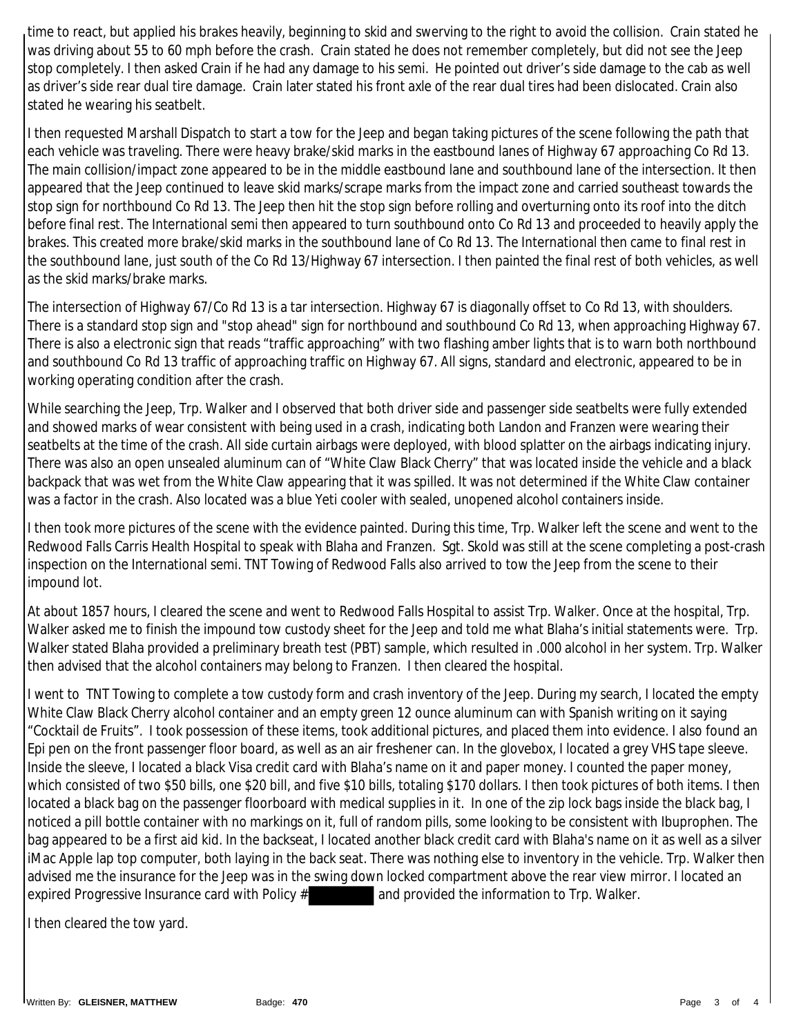time to react, but applied his brakes heavily, beginning to skid and swerving to the right to avoid the collision. Crain stated he was driving about 55 to 60 mph before the crash. Crain stated he does not remember completely, but did not see the Jeep stop completely. I then asked Crain if he had any damage to his semi. He pointed out driver's side damage to the cab as well as driver's side rear dual tire damage. Crain later stated his front axle of the rear dual tires had been dislocated. Crain also stated he wearing his seatbelt.

I then requested Marshall Dispatch to start a tow for the Jeep and began taking pictures of the scene following the path that each vehicle was traveling. There were heavy brake/skid marks in the eastbound lanes of Highway 67 approaching Co Rd 13. The main collision/impact zone appeared to be in the middle eastbound lane and southbound lane of the intersection. It then appeared that the Jeep continued to leave skid marks/scrape marks from the impact zone and carried southeast towards the stop sign for northbound Co Rd 13. The Jeep then hit the stop sign before rolling and overturning onto its roof into the ditch before final rest. The International semi then appeared to turn southbound onto Co Rd 13 and proceeded to heavily apply the brakes. This created more brake/skid marks in the southbound lane of Co Rd 13. The International then came to final rest in the southbound lane, just south of the Co Rd 13/Highway 67 intersection. I then painted the final rest of both vehicles, as well as the skid marks/brake marks.

The intersection of Highway 67/Co Rd 13 is a tar intersection. Highway 67 is diagonally offset to Co Rd 13, with shoulders. There is a standard stop sign and "stop ahead" sign for northbound and southbound Co Rd 13, when approaching Highway 67. There is also a electronic sign that reads "traffic approaching" with two flashing amber lights that is to warn both northbound and southbound Co Rd 13 traffic of approaching traffic on Highway 67. All signs, standard and electronic, appeared to be in working operating condition after the crash.

While searching the Jeep, Trp. Walker and I observed that both driver side and passenger side seatbelts were fully extended and showed marks of wear consistent with being used in a crash, indicating both Landon and Franzen were wearing their seatbelts at the time of the crash. All side curtain airbags were deployed, with blood splatter on the airbags indicating injury. There was also an open unsealed aluminum can of "White Claw Black Cherry" that was located inside the vehicle and a black backpack that was wet from the White Claw appearing that it was spilled. It was not determined if the White Claw container was a factor in the crash. Also located was a blue Yeti cooler with sealed, unopened alcohol containers inside.

I then took more pictures of the scene with the evidence painted. During this time, Trp. Walker left the scene and went to the Redwood Falls Carris Health Hospital to speak with Blaha and Franzen. Sgt. Skold was still at the scene completing a post-crash inspection on the International semi. TNT Towing of Redwood Falls also arrived to tow the Jeep from the scene to their impound lot.

At about 1857 hours, I cleared the scene and went to Redwood Falls Hospital to assist Trp. Walker. Once at the hospital, Trp. Walker asked me to finish the impound tow custody sheet for the Jeep and told me what Blaha's initial statements were. Trp. Walker stated Blaha provided a preliminary breath test (PBT) sample, which resulted in .000 alcohol in her system. Trp. Walker then advised that the alcohol containers may belong to Franzen. I then cleared the hospital.

I went to TNT Towing to complete a tow custody form and crash inventory of the Jeep. During my search, I located the empty White Claw Black Cherry alcohol container and an empty green 12 ounce aluminum can with Spanish writing on it saying "Cocktail de Fruits". I took possession of these items, took additional pictures, and placed them into evidence. I also found an Epi pen on the front passenger floor board, as well as an air freshener can. In the glovebox, I located a grey VHS tape sleeve. Inside the sleeve, I located a black Visa credit card with Blaha's name on it and paper money. I counted the paper money, which consisted of two \$50 bills, one \$20 bill, and five \$10 bills, totaling \$170 dollars. I then took pictures of both items. I then located a black bag on the passenger floorboard with medical supplies in it. In one of the zip lock bags inside the black bag, I noticed a pill bottle container with no markings on it, full of random pills, some looking to be consistent with Ibuprophen. The bag appeared to be a first aid kid. In the backseat, I located another black credit card with Blaha's name on it as well as a silver iMac Apple lap top computer, both laying in the back seat. There was nothing else to inventory in the vehicle. Trp. Walker then advised me the insurance for the Jeep was in the swing down locked compartment above the rear view mirror. I located an expired Progressive Insurance card with Policy # and provided the information to Trp. Walker.

I then cleared the tow yard.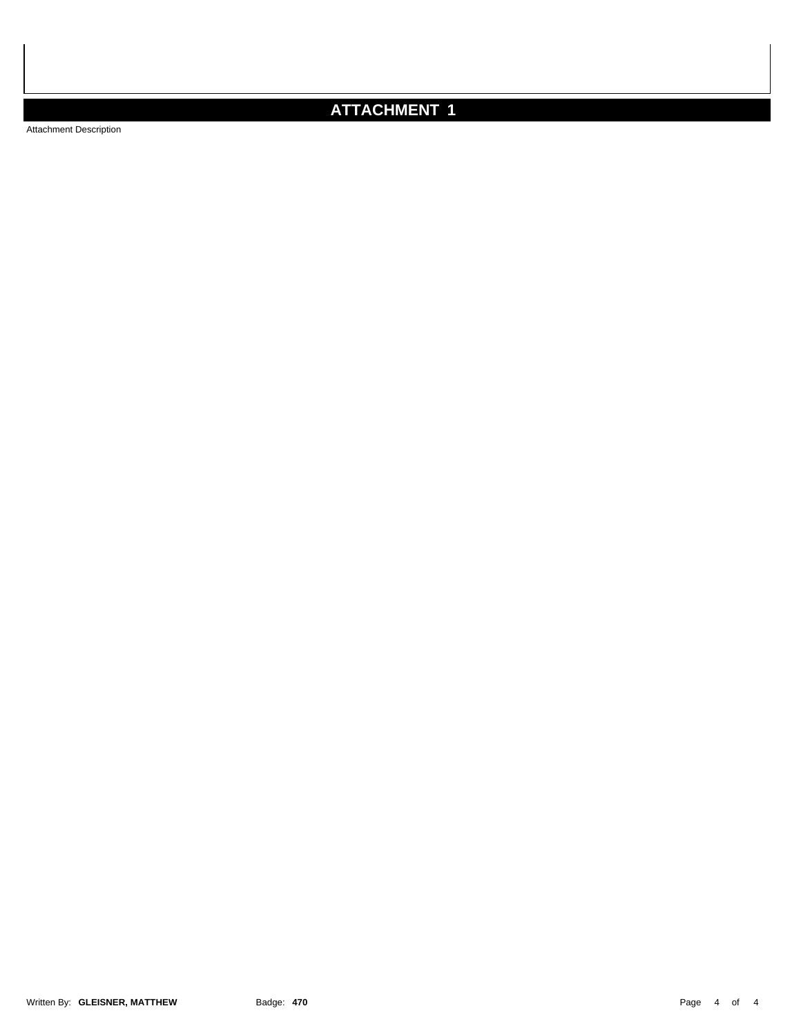## **ATTACHMENT 1**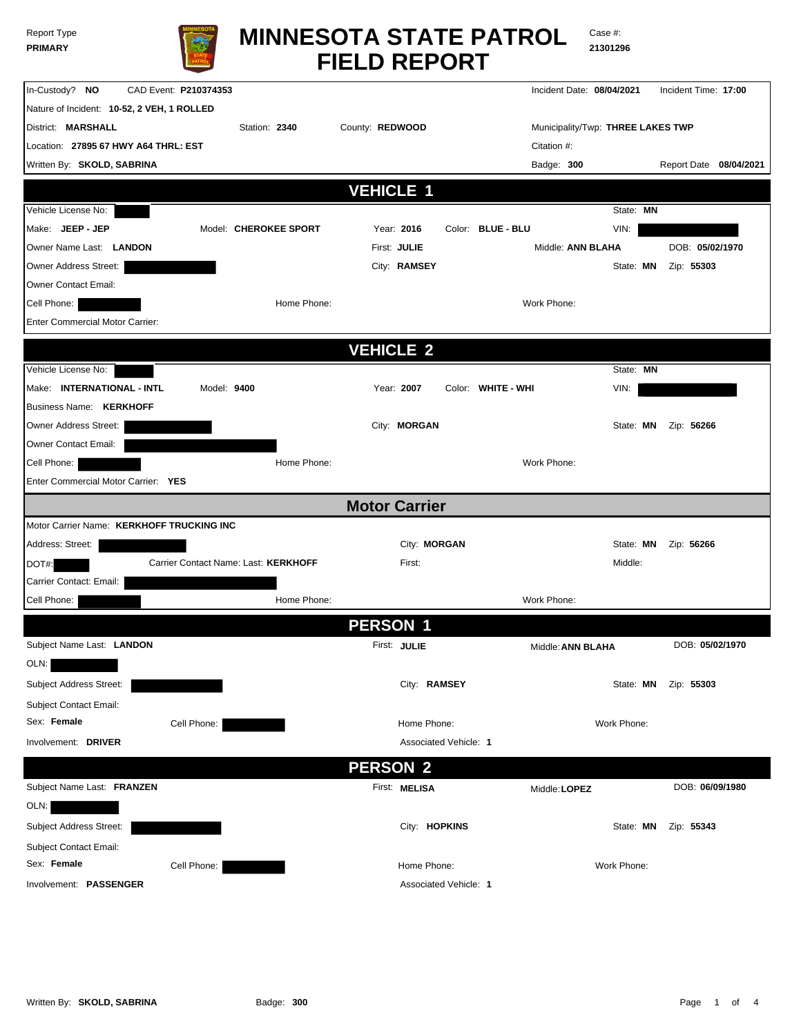| <b>Report Type</b> |  |
|--------------------|--|
| <b>PRIMARY</b>     |  |



# **FIELD REPORT MINNESOTA STATE PATROL**

Case #: **21301296**

| In-Custody? NO<br>CAD Event: P210374353            |                      |                       | Incident Date: 08/04/2021         |             | Incident Time: 17:00     |
|----------------------------------------------------|----------------------|-----------------------|-----------------------------------|-------------|--------------------------|
| Nature of Incident: 10-52, 2 VEH, 1 ROLLED         |                      |                       |                                   |             |                          |
| District: MARSHALL<br>Station: 2340                | County: REDWOOD      |                       | Municipality/Twp: THREE LAKES TWP |             |                          |
| Location: 27895 67 HWY A64 THRL: EST               |                      |                       | Citation #:                       |             |                          |
| Written By: SKOLD, SABRINA                         |                      |                       | Badge: 300                        |             | Report Date 08/04/2021   |
|                                                    | <b>VEHICLE 1</b>     |                       |                                   |             |                          |
| Vehicle License No:                                |                      |                       |                                   | State: MN   |                          |
| Make: JEEP - JEP<br>Model: CHEROKEE SPORT          | Year: 2016           |                       | Color: BLUE - BLU                 | VIN:        |                          |
| Owner Name Last: LANDON                            | First: JULIE         |                       | Middle: ANN BLAHA                 |             | DOB: 05/02/1970          |
| Owner Address Street:                              |                      | City: RAMSEY          |                                   | State: MN   | Zip: 55303               |
| Owner Contact Email:                               |                      |                       |                                   |             |                          |
| Cell Phone:                                        | Home Phone:          |                       | Work Phone:                       |             |                          |
| Enter Commercial Motor Carrier:                    |                      |                       |                                   |             |                          |
|                                                    |                      |                       |                                   |             |                          |
|                                                    | <b>VEHICLE 2</b>     |                       |                                   |             |                          |
| Vehicle License No:                                |                      |                       |                                   | State: MN   |                          |
| Make: INTERNATIONAL - INTL<br>Model: 9400          | Year: 2007           |                       | Color: WHITE - WHI                | VIN:        |                          |
| <b>Business Name: KERKHOFF</b>                     |                      |                       |                                   |             |                          |
| Owner Address Street:                              |                      | City: MORGAN          |                                   | State: MN   | Zip: 56266               |
| Owner Contact Email:                               | Home Phone:          |                       | Work Phone:                       |             |                          |
| Cell Phone:<br>Enter Commercial Motor Carrier: YES |                      |                       |                                   |             |                          |
|                                                    |                      |                       |                                   |             |                          |
|                                                    | <b>Motor Carrier</b> |                       |                                   |             |                          |
| Motor Carrier Name: KERKHOFF TRUCKING INC          |                      |                       |                                   |             |                          |
| Address: Street:                                   |                      | City: MORGAN          |                                   | State: MN   | Zip: 56266               |
| Carrier Contact Name: Last: KERKHOFF<br>DOT#:      |                      | First:                |                                   | Middle:     |                          |
| Carrier Contact: Email:                            |                      |                       |                                   |             |                          |
| Cell Phone:                                        | Home Phone:          |                       | Work Phone:                       |             |                          |
|                                                    | <b>PERSON 1</b>      |                       |                                   |             |                          |
| Subject Name Last: LANDON                          | First: JULIE         |                       | Middle: ANN BLAHA                 |             | DOB: 05/02/1970          |
| OLN:                                               |                      |                       |                                   |             |                          |
| Subject Address Street:                            |                      | City: RAMSEY          |                                   |             | State: MN     Zip: 55303 |
| <b>Subject Contact Email:</b>                      |                      |                       |                                   |             |                          |
| Sex: Female<br>Cell Phone:                         |                      | Home Phone:           |                                   | Work Phone: |                          |
| Involvement: DRIVER                                |                      | Associated Vehicle: 1 |                                   |             |                          |
|                                                    | <b>PERSON 2</b>      |                       |                                   |             |                          |
| Subject Name Last: FRANZEN                         | First: MELISA        |                       |                                   |             | DOB: 06/09/1980          |
| OLN:                                               |                      |                       | Middle: LOPEZ                     |             |                          |
|                                                    |                      |                       |                                   |             |                          |
| Subject Address Street:                            |                      | City: HOPKINS         |                                   | State: MN   | Zip: 55343               |
| <b>Subject Contact Email:</b><br>Sex: Female       |                      |                       |                                   |             |                          |
| Cell Phone:                                        |                      | Home Phone:           |                                   | Work Phone: |                          |
| Involvement: PASSENGER                             |                      | Associated Vehicle: 1 |                                   |             |                          |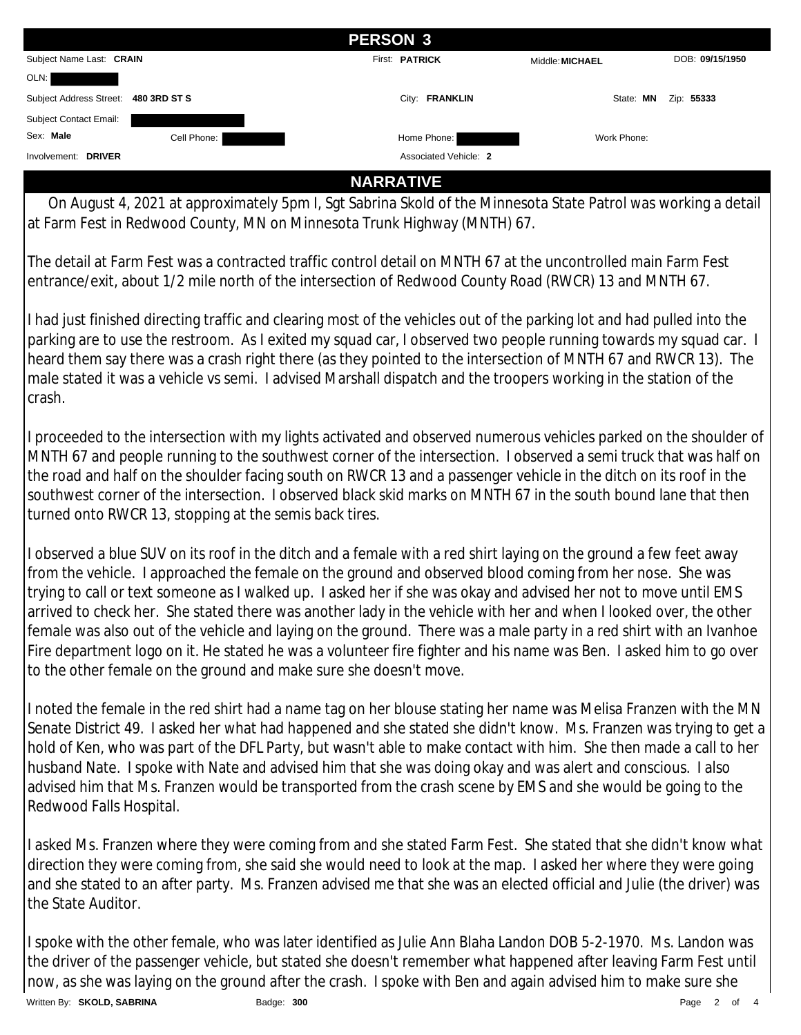|                          |              | <b>PERSON 3</b> |                       |                 |                 |
|--------------------------|--------------|-----------------|-----------------------|-----------------|-----------------|
| Subject Name Last: CRAIN |              |                 | First: PATRICK        | Middle: MICHAEL | DOB: 09/15/1950 |
| OLN:                     |              |                 |                       |                 |                 |
| Subject Address Street:  | 480 3RD ST S |                 | City: FRANKLIN        | State: MN       | Zip: 55333      |
| Subject Contact Email:   |              |                 |                       |                 |                 |
| Sex: Male                | Cell Phone:  |                 | Home Phone:           | Work Phone:     |                 |
| Involvement: DRIVER      |              |                 | Associated Vehicle: 2 |                 |                 |

### **NARRATIVE**

 On August 4, 2021 at approximately 5pm I, Sgt Sabrina Skold of the Minnesota State Patrol was working a detail at Farm Fest in Redwood County, MN on Minnesota Trunk Highway (MNTH) 67.

The detail at Farm Fest was a contracted traffic control detail on MNTH 67 at the uncontrolled main Farm Fest entrance/exit, about 1/2 mile north of the intersection of Redwood County Road (RWCR) 13 and MNTH 67.

I had just finished directing traffic and clearing most of the vehicles out of the parking lot and had pulled into the parking are to use the restroom. As I exited my squad car, I observed two people running towards my squad car. I heard them say there was a crash right there (as they pointed to the intersection of MNTH 67 and RWCR 13). The male stated it was a vehicle vs semi. I advised Marshall dispatch and the troopers working in the station of the crash.

I proceeded to the intersection with my lights activated and observed numerous vehicles parked on the shoulder of MNTH 67 and people running to the southwest corner of the intersection. I observed a semi truck that was half on the road and half on the shoulder facing south on RWCR 13 and a passenger vehicle in the ditch on its roof in the southwest corner of the intersection. I observed black skid marks on MNTH 67 in the south bound lane that then turned onto RWCR 13, stopping at the semis back tires.

I observed a blue SUV on its roof in the ditch and a female with a red shirt laying on the ground a few feet away from the vehicle. I approached the female on the ground and observed blood coming from her nose. She was trying to call or text someone as I walked up. I asked her if she was okay and advised her not to move until EMS arrived to check her. She stated there was another lady in the vehicle with her and when I looked over, the other female was also out of the vehicle and laying on the ground. There was a male party in a red shirt with an Ivanhoe Fire department logo on it. He stated he was a volunteer fire fighter and his name was Ben. I asked him to go over to the other female on the ground and make sure she doesn't move.

I noted the female in the red shirt had a name tag on her blouse stating her name was Melisa Franzen with the MN Senate District 49. I asked her what had happened and she stated she didn't know. Ms. Franzen was trying to get a hold of Ken, who was part of the DFL Party, but wasn't able to make contact with him. She then made a call to her husband Nate. I spoke with Nate and advised him that she was doing okay and was alert and conscious. I also advised him that Ms. Franzen would be transported from the crash scene by EMS and she would be going to the Redwood Falls Hospital.

I asked Ms. Franzen where they were coming from and she stated Farm Fest. She stated that she didn't know what direction they were coming from, she said she would need to look at the map. I asked her where they were going and she stated to an after party. Ms. Franzen advised me that she was an elected official and Julie (the driver) was the State Auditor.

I spoke with the other female, who was later identified as Julie Ann Blaha Landon DOB 5-2-1970. Ms. Landon was the driver of the passenger vehicle, but stated she doesn't remember what happened after leaving Farm Fest until now, as she was laying on the ground after the crash. I spoke with Ben and again advised him to make sure she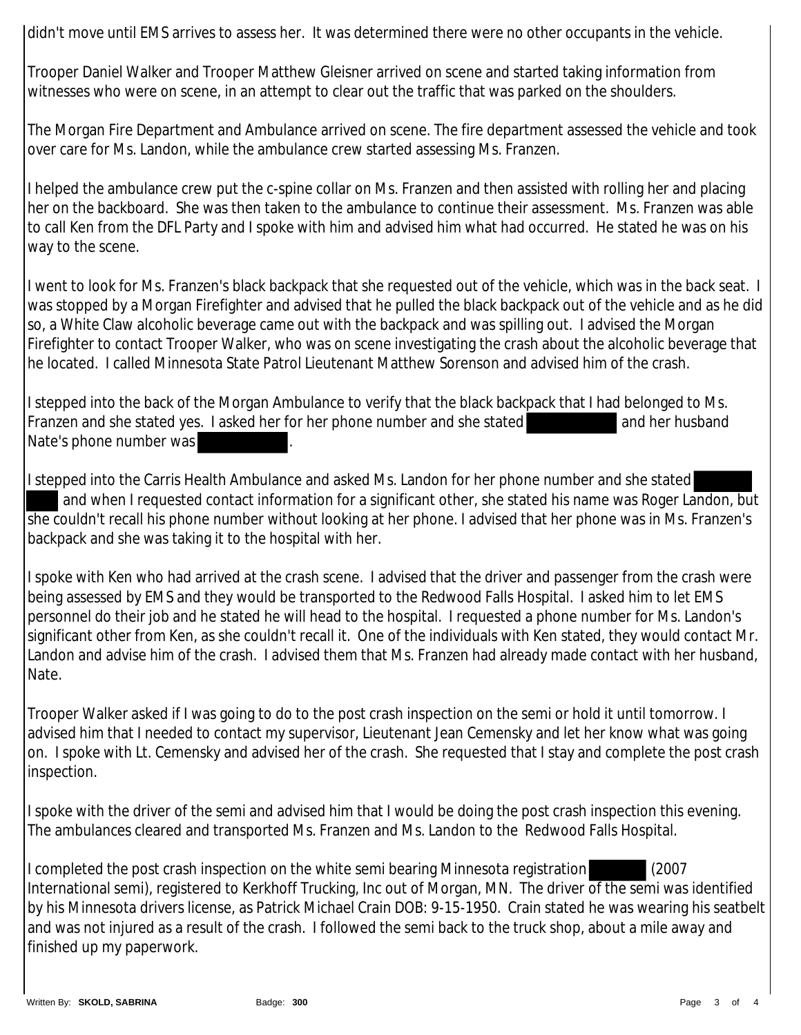didn't move until EMS arrives to assess her. It was determined there were no other occupants in the vehicle.

Trooper Daniel Walker and Trooper Matthew Gleisner arrived on scene and started taking information from witnesses who were on scene, in an attempt to clear out the traffic that was parked on the shoulders.

The Morgan Fire Department and Ambulance arrived on scene. The fire department assessed the vehicle and took over care for Ms. Landon, while the ambulance crew started assessing Ms. Franzen.

I helped the ambulance crew put the c-spine collar on Ms. Franzen and then assisted with rolling her and placing her on the backboard. She was then taken to the ambulance to continue their assessment. Ms. Franzen was able to call Ken from the DFL Party and I spoke with him and advised him what had occurred. He stated he was on his way to the scene.

I went to look for Ms. Franzen's black backpack that she requested out of the vehicle, which was in the back seat. I was stopped by a Morgan Firefighter and advised that he pulled the black backpack out of the vehicle and as he did so, a White Claw alcoholic beverage came out with the backpack and was spilling out. I advised the Morgan Firefighter to contact Trooper Walker, who was on scene investigating the crash about the alcoholic beverage that he located. I called Minnesota State Patrol Lieutenant Matthew Sorenson and advised him of the crash.

I stepped into the back of the Morgan Ambulance to verify that the black backpack that I had belonged to Ms. Franzen and she stated yes. I asked her for her phone number and she stated and her husband Nate's phone number was

I stepped into the Carris Health Ambulance and asked Ms. Landon for her phone number and she stated and when I requested contact information for a significant other, she stated his name was Roger Landon, but she couldn't recall his phone number without looking at her phone. I advised that her phone was in Ms. Franzen's backpack and she was taking it to the hospital with her.

I spoke with Ken who had arrived at the crash scene. I advised that the driver and passenger from the crash were being assessed by EMS and they would be transported to the Redwood Falls Hospital. I asked him to let EMS personnel do their job and he stated he will head to the hospital. I requested a phone number for Ms. Landon's significant other from Ken, as she couldn't recall it. One of the individuals with Ken stated, they would contact Mr. Landon and advise him of the crash. I advised them that Ms. Franzen had already made contact with her husband, Nate.

Trooper Walker asked if I was going to do to the post crash inspection on the semi or hold it until tomorrow. I advised him that I needed to contact my supervisor, Lieutenant Jean Cemensky and let her know what was going on. I spoke with Lt. Cemensky and advised her of the crash. She requested that I stay and complete the post crash inspection.

I spoke with the driver of the semi and advised him that I would be doing the post crash inspection this evening. The ambulances cleared and transported Ms. Franzen and Ms. Landon to the Redwood Falls Hospital.

I completed the post crash inspection on the white semi bearing Minnesota registration (2007 International semi), registered to Kerkhoff Trucking, Inc out of Morgan, MN. The driver of the semi was identified by his Minnesota drivers license, as Patrick Michael Crain DOB: 9-15-1950. Crain stated he was wearing his seatbelt and was not injured as a result of the crash. I followed the semi back to the truck shop, about a mile away and finished up my paperwork.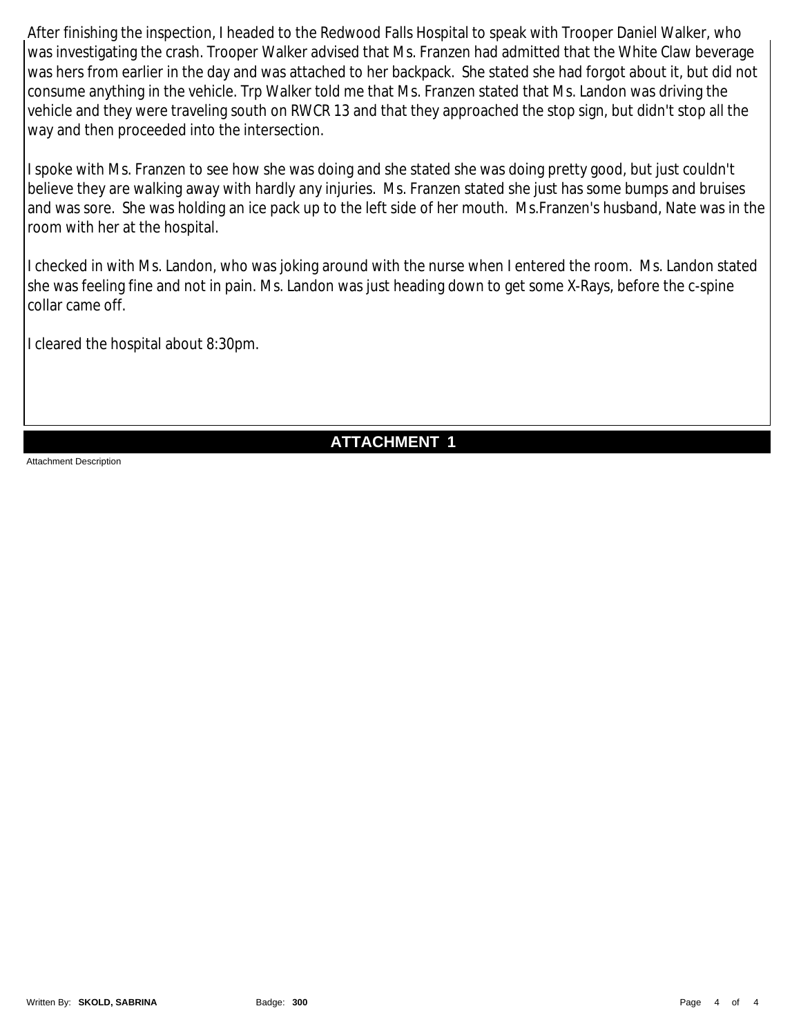After finishing the inspection, I headed to the Redwood Falls Hospital to speak with Trooper Daniel Walker, who was investigating the crash. Trooper Walker advised that Ms. Franzen had admitted that the White Claw beverage was hers from earlier in the day and was attached to her backpack. She stated she had forgot about it, but did not consume anything in the vehicle. Trp Walker told me that Ms. Franzen stated that Ms. Landon was driving the vehicle and they were traveling south on RWCR 13 and that they approached the stop sign, but didn't stop all the way and then proceeded into the intersection.

I spoke with Ms. Franzen to see how she was doing and she stated she was doing pretty good, but just couldn't believe they are walking away with hardly any injuries. Ms. Franzen stated she just has some bumps and bruises and was sore. She was holding an ice pack up to the left side of her mouth. Ms.Franzen's husband, Nate was in the room with her at the hospital.

I checked in with Ms. Landon, who was joking around with the nurse when I entered the room. Ms. Landon stated she was feeling fine and not in pain. Ms. Landon was just heading down to get some X-Rays, before the c-spine collar came off.

I cleared the hospital about 8:30pm.

## **ATTACHMENT 1**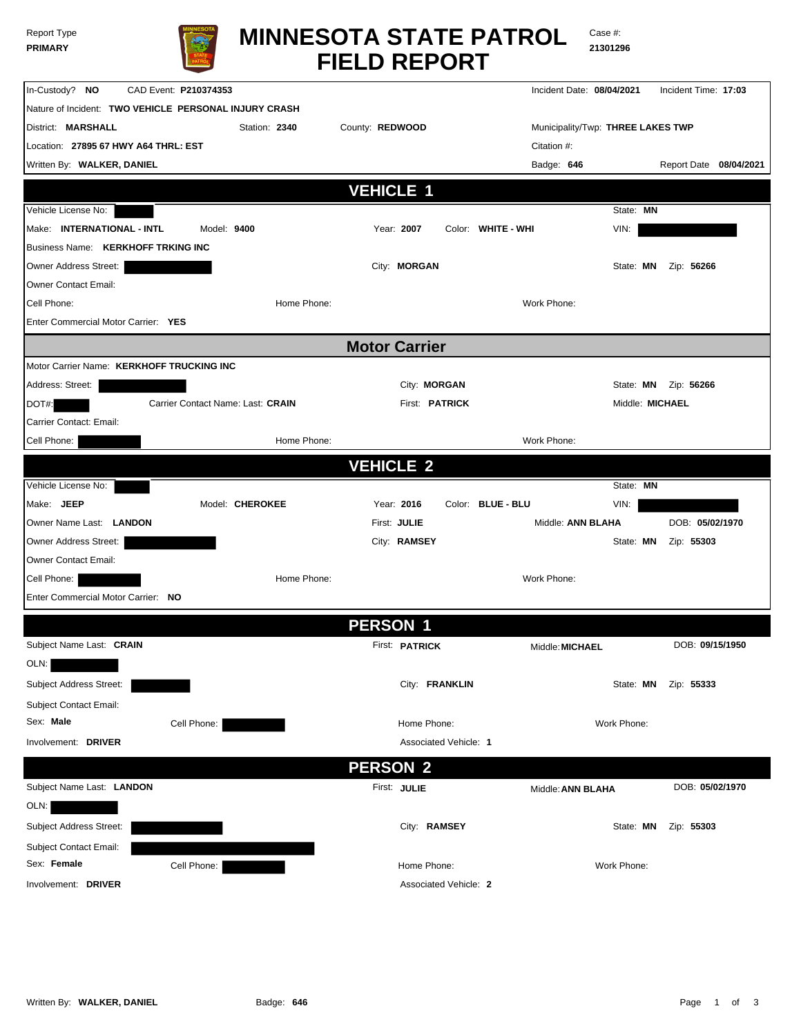| Report Type    |  |
|----------------|--|
| <b>PRIMARY</b> |  |



Case #: **21301296**

| In-Custody? NO                            | CAD Event: P210374353                                 |                       | Incident Date: 08/04/2021         | Incident Time: 17:03     |
|-------------------------------------------|-------------------------------------------------------|-----------------------|-----------------------------------|--------------------------|
|                                           | Nature of Incident: TWO VEHICLE PERSONAL INJURY CRASH |                       |                                   |                          |
| District: MARSHALL                        | Station: 2340                                         | County: REDWOOD       | Municipality/Twp: THREE LAKES TWP |                          |
| Location: 27895 67 HWY A64 THRL: EST      |                                                       |                       | Citation #:                       |                          |
| Written By: WALKER, DANIEL                |                                                       |                       | Badge: 646                        | Report Date 08/04/2021   |
|                                           |                                                       | <b>VEHICLE 1</b>      |                                   |                          |
| Vehicle License No:                       |                                                       |                       | State: MN                         |                          |
| Make: INTERNATIONAL - INTL                | Model: 9400                                           | Year: 2007            | Color: WHITE - WHI<br>VIN:        |                          |
| <b>Business Name: KERKHOFF TRKING INC</b> |                                                       |                       |                                   |                          |
| Owner Address Street:                     |                                                       | City: MORGAN          | State: MN                         | Zip: 56266               |
| <b>Owner Contact Email:</b>               |                                                       |                       |                                   |                          |
| Cell Phone:                               | Home Phone:                                           |                       | Work Phone:                       |                          |
| Enter Commercial Motor Carrier: YES       |                                                       |                       |                                   |                          |
|                                           |                                                       |                       |                                   |                          |
|                                           |                                                       | <b>Motor Carrier</b>  |                                   |                          |
| Motor Carrier Name: KERKHOFF TRUCKING INC |                                                       |                       |                                   |                          |
| Address: Street:                          |                                                       | City: MORGAN          |                                   | State: MN     Zip: 56266 |
| DOT#:                                     | Carrier Contact Name: Last: CRAIN                     | First: <b>PATRICK</b> |                                   | Middle: MICHAEL          |
| Carrier Contact: Email:                   |                                                       |                       |                                   |                          |
| Cell Phone:                               | Home Phone:                                           |                       | Work Phone:                       |                          |
|                                           |                                                       | <b>VEHICLE 2</b>      |                                   |                          |
| Vehicle License No:                       |                                                       |                       | State: MN                         |                          |
| Make: JEEP                                | Model: CHEROKEE                                       | Year: 2016            | Color: BLUE - BLU<br>VIN:         |                          |
| Owner Name Last: LANDON                   |                                                       | First: JULIE          | Middle: ANN BLAHA                 | DOB: 05/02/1970          |
| Owner Address Street:                     |                                                       | City: RAMSEY          | State: MN                         | Zip: 55303               |
| <b>Owner Contact Email:</b>               |                                                       |                       |                                   |                          |
| Cell Phone:                               | Home Phone:                                           |                       | Work Phone:                       |                          |
| Enter Commercial Motor Carrier: NO        |                                                       |                       |                                   |                          |
|                                           |                                                       |                       |                                   |                          |
|                                           |                                                       | <b>PERSON 1</b>       |                                   |                          |
| Subject Name Last: CRAIN                  |                                                       | First: <b>PATRICK</b> | Middle: MICHAEL                   | DOB: 09/15/1950          |
| OLN:                                      |                                                       |                       |                                   |                          |
| Subject Address Street:                   |                                                       | City: FRANKLIN        | State: MN                         | Zip: 55333               |
| Subject Contact Email:                    |                                                       |                       |                                   |                          |
| Sex: Male                                 | Cell Phone:                                           | Home Phone:           | Work Phone:                       |                          |
| Involvement: DRIVER                       |                                                       | Associated Vehicle: 1 |                                   |                          |
|                                           |                                                       | <b>PERSON 2</b>       |                                   |                          |
| Subject Name Last: LANDON                 |                                                       | First: JULIE          | Middle: ANN BLAHA                 | DOB: 05/02/1970          |
| OLN:                                      |                                                       |                       |                                   |                          |
| Subject Address Street:                   |                                                       |                       |                                   | Zip: 55303               |
|                                           |                                                       | City: RAMSEY          | State: MN                         |                          |
| Subject Contact Email:<br>Sex: Female     |                                                       |                       |                                   |                          |
|                                           | Cell Phone:                                           | Home Phone:           | Work Phone:                       |                          |
| Involvement: DRIVER                       |                                                       | Associated Vehicle: 2 |                                   |                          |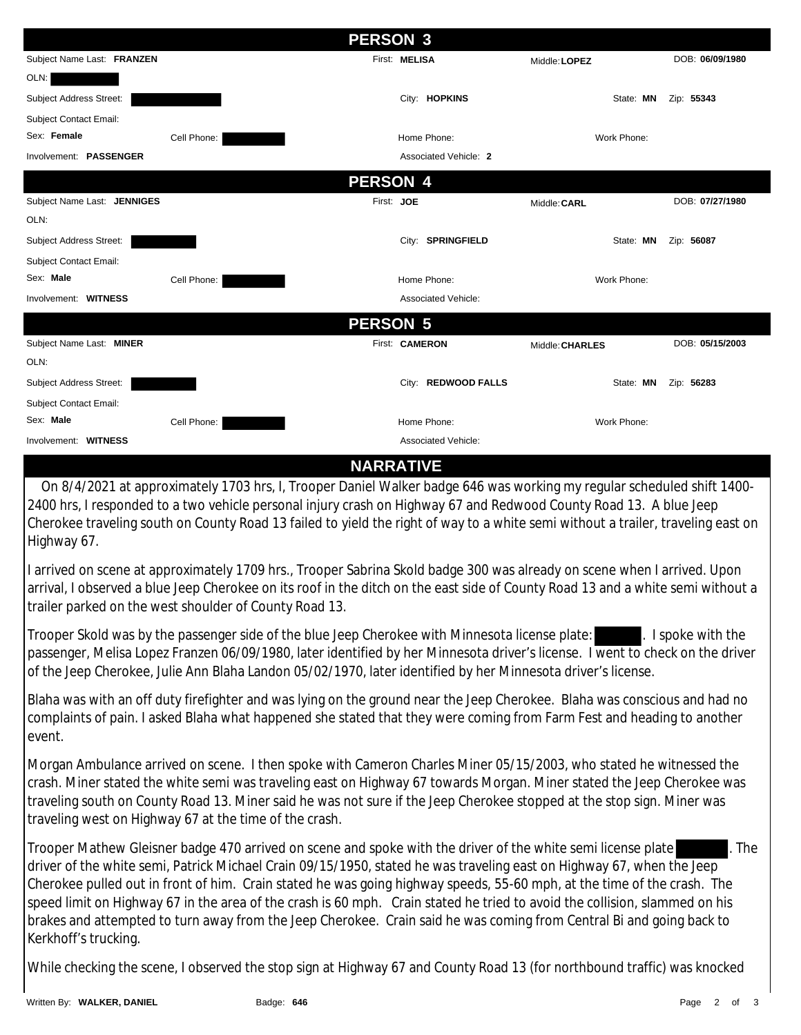|                             | <b>PERSON 3</b> |                       |                 |                 |
|-----------------------------|-----------------|-----------------------|-----------------|-----------------|
| Subject Name Last: FRANZEN  |                 | First: MELISA         | Middle: LOPEZ   | DOB: 06/09/1980 |
| OLN:                        |                 |                       |                 |                 |
| Subject Address Street:     |                 | City: HOPKINS         | State: MN       | Zip: 55343      |
| Subject Contact Email:      |                 |                       |                 |                 |
| Sex: Female                 | Cell Phone:     | Home Phone:           | Work Phone:     |                 |
| Involvement: PASSENGER      |                 | Associated Vehicle: 2 |                 |                 |
|                             | <b>PERSON 4</b> |                       |                 |                 |
| Subject Name Last: JENNIGES | First: JOE      |                       | Middle: CARL    | DOB: 07/27/1980 |
| OLN:                        |                 |                       |                 |                 |
| Subject Address Street:     |                 | City: SPRINGFIELD     | State: MN       | Zip: 56087      |
| Subject Contact Email:      |                 |                       |                 |                 |
| Sex: Male                   | Cell Phone:     | Home Phone:           | Work Phone:     |                 |
| Involvement: WITNESS        |                 | Associated Vehicle:   |                 |                 |
|                             | <b>PERSON 5</b> |                       |                 |                 |
| Subject Name Last: MINER    |                 | First: CAMERON        | Middle: CHARLES | DOB: 05/15/2003 |
| OLN:                        |                 |                       |                 |                 |
| Subject Address Street:     |                 | City: REDWOOD FALLS   | State: MN       | Zip: 56283      |
| Subject Contact Email:      |                 |                       |                 |                 |
| Sex: Male                   | Cell Phone:     | Home Phone:           | Work Phone:     |                 |
| Involvement: WITNESS        |                 | Associated Vehicle:   |                 |                 |

#### **NARRATIVE**

 On 8/4/2021 at approximately 1703 hrs, I, Trooper Daniel Walker badge 646 was working my regular scheduled shift 1400- 2400 hrs, I responded to a two vehicle personal injury crash on Highway 67 and Redwood County Road 13. A blue Jeep Cherokee traveling south on County Road 13 failed to yield the right of way to a white semi without a trailer, traveling east on Highway 67.

I arrived on scene at approximately 1709 hrs., Trooper Sabrina Skold badge 300 was already on scene when I arrived. Upon arrival, I observed a blue Jeep Cherokee on its roof in the ditch on the east side of County Road 13 and a white semi without a trailer parked on the west shoulder of County Road 13.

Trooper Skold was by the passenger side of the blue Jeep Cherokee with Minnesota license plate: . I spoke with the passenger, Melisa Lopez Franzen 06/09/1980, later identified by her Minnesota driver's license. I went to check on the driver of the Jeep Cherokee, Julie Ann Blaha Landon 05/02/1970, later identified by her Minnesota driver's license.

Blaha was with an off duty firefighter and was lying on the ground near the Jeep Cherokee. Blaha was conscious and had no complaints of pain. I asked Blaha what happened she stated that they were coming from Farm Fest and heading to another event.

Morgan Ambulance arrived on scene. I then spoke with Cameron Charles Miner 05/15/2003, who stated he witnessed the crash. Miner stated the white semi was traveling east on Highway 67 towards Morgan. Miner stated the Jeep Cherokee was traveling south on County Road 13. Miner said he was not sure if the Jeep Cherokee stopped at the stop sign. Miner was traveling west on Highway 67 at the time of the crash.

Trooper Mathew Gleisner badge 470 arrived on scene and spoke with the driver of the white semi license plate . The driver of the white semi, Patrick Michael Crain 09/15/1950, stated he was traveling east on Highway 67, when the Jeep Cherokee pulled out in front of him. Crain stated he was going highway speeds, 55-60 mph, at the time of the crash. The speed limit on Highway 67 in the area of the crash is 60 mph. Crain stated he tried to avoid the collision, slammed on his brakes and attempted to turn away from the Jeep Cherokee. Crain said he was coming from Central Bi and going back to Kerkhoff's trucking.

While checking the scene, I observed the stop sign at Highway 67 and County Road 13 (for northbound traffic) was knocked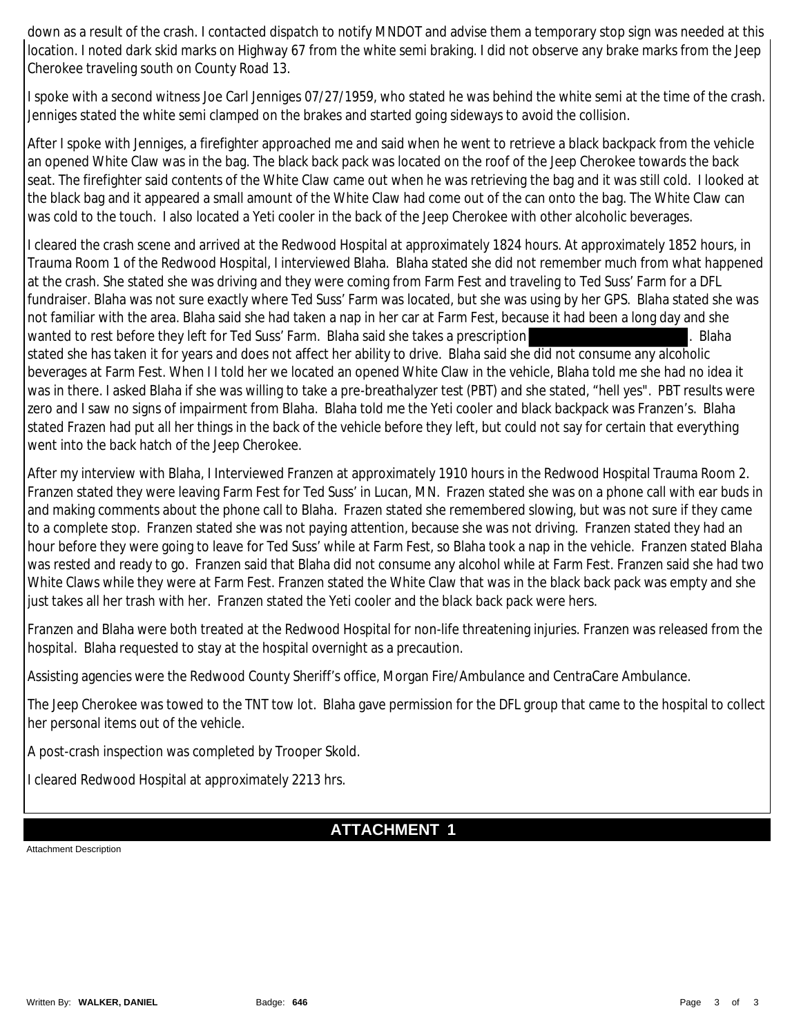down as a result of the crash. I contacted dispatch to notify MNDOT and advise them a temporary stop sign was needed at this location. I noted dark skid marks on Highway 67 from the white semi braking. I did not observe any brake marks from the Jeep Cherokee traveling south on County Road 13.

I spoke with a second witness Joe Carl Jenniges 07/27/1959, who stated he was behind the white semi at the time of the crash. Jenniges stated the white semi clamped on the brakes and started going sideways to avoid the collision.

After I spoke with Jenniges, a firefighter approached me and said when he went to retrieve a black backpack from the vehicle an opened White Claw was in the bag. The black back pack was located on the roof of the Jeep Cherokee towards the back seat. The firefighter said contents of the White Claw came out when he was retrieving the bag and it was still cold. I looked at the black bag and it appeared a small amount of the White Claw had come out of the can onto the bag. The White Claw can was cold to the touch. I also located a Yeti cooler in the back of the Jeep Cherokee with other alcoholic beverages.

I cleared the crash scene and arrived at the Redwood Hospital at approximately 1824 hours. At approximately 1852 hours, in Trauma Room 1 of the Redwood Hospital, I interviewed Blaha. Blaha stated she did not remember much from what happened at the crash. She stated she was driving and they were coming from Farm Fest and traveling to Ted Suss' Farm for a DFL fundraiser. Blaha was not sure exactly where Ted Suss' Farm was located, but she was using by her GPS. Blaha stated she was not familiar with the area. Blaha said she had taken a nap in her car at Farm Fest, because it had been a long day and she wanted to rest before they left for Ted Suss' Farm. Blaha said she takes a prescription . Blaha . Blaha stated she has taken it for years and does not affect her ability to drive. Blaha said she did not consume any alcoholic beverages at Farm Fest. When I I told her we located an opened White Claw in the vehicle, Blaha told me she had no idea it was in there. I asked Blaha if she was willing to take a pre-breathalyzer test (PBT) and she stated, "hell yes". PBT results were zero and I saw no signs of impairment from Blaha. Blaha told me the Yeti cooler and black backpack was Franzen's. Blaha stated Frazen had put all her things in the back of the vehicle before they left, but could not say for certain that everything went into the back hatch of the Jeep Cherokee.

After my interview with Blaha, I Interviewed Franzen at approximately 1910 hours in the Redwood Hospital Trauma Room 2. Franzen stated they were leaving Farm Fest for Ted Suss' in Lucan, MN. Frazen stated she was on a phone call with ear buds in and making comments about the phone call to Blaha. Frazen stated she remembered slowing, but was not sure if they came to a complete stop. Franzen stated she was not paying attention, because she was not driving. Franzen stated they had an hour before they were going to leave for Ted Suss' while at Farm Fest, so Blaha took a nap in the vehicle. Franzen stated Blaha was rested and ready to go. Franzen said that Blaha did not consume any alcohol while at Farm Fest. Franzen said she had two White Claws while they were at Farm Fest. Franzen stated the White Claw that was in the black back pack was empty and she just takes all her trash with her. Franzen stated the Yeti cooler and the black back pack were hers.

Franzen and Blaha were both treated at the Redwood Hospital for non-life threatening injuries. Franzen was released from the hospital. Blaha requested to stay at the hospital overnight as a precaution.

Assisting agencies were the Redwood County Sheriff's office, Morgan Fire/Ambulance and CentraCare Ambulance.

The Jeep Cherokee was towed to the TNT tow lot. Blaha gave permission for the DFL group that came to the hospital to collect her personal items out of the vehicle.

A post-crash inspection was completed by Trooper Skold.

I cleared Redwood Hospital at approximately 2213 hrs.

### **ATTACHMENT 1**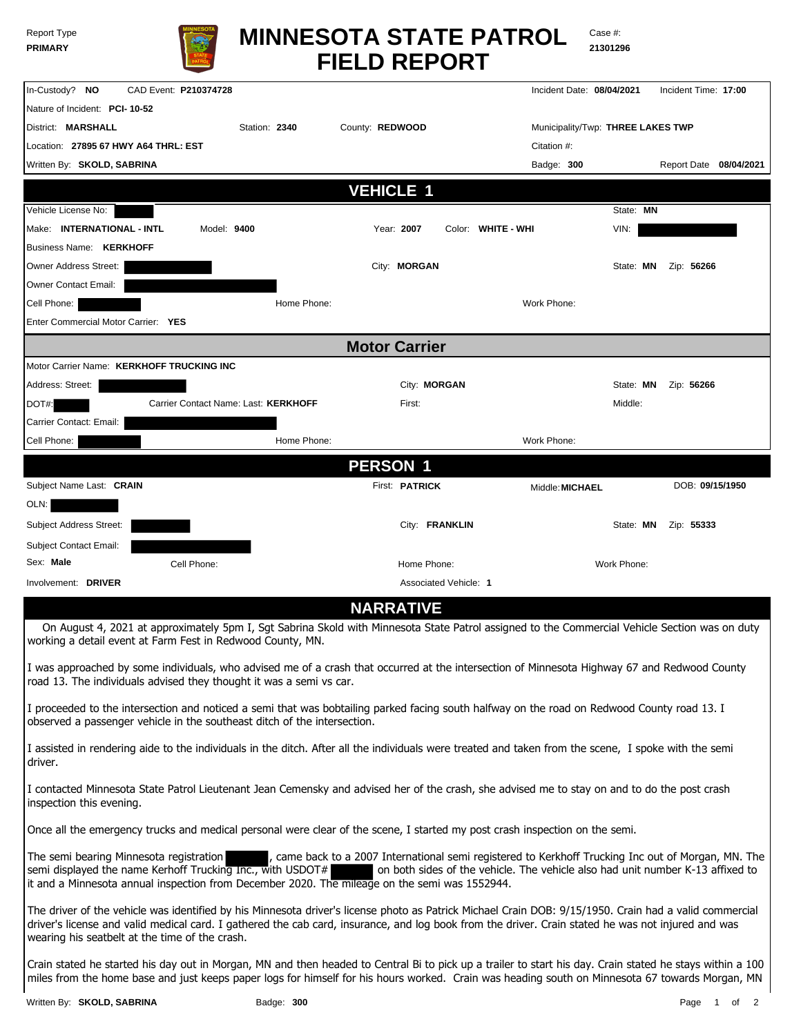| <b>Report Type</b> |  |
|--------------------|--|
| <b>PRIMARY</b>     |  |



# **FIELD REPORT MINNESOTA STATE PATROL**

Case #: **21301296**

| In-Custody? NO                                                                                                                                 | CAD Event: P210374728 |                                      |                      |                       |                    | Incident Date: 08/04/2021 |                                   | Incident Time: 17:00   |
|------------------------------------------------------------------------------------------------------------------------------------------------|-----------------------|--------------------------------------|----------------------|-----------------------|--------------------|---------------------------|-----------------------------------|------------------------|
| Nature of Incident: PCI-10-52                                                                                                                  |                       |                                      |                      |                       |                    |                           |                                   |                        |
| District: MARSHALL                                                                                                                             |                       | Station: 2340                        | County: REDWOOD      |                       |                    |                           | Municipality/Twp: THREE LAKES TWP |                        |
| Location: 27895 67 HWY A64 THRL: EST                                                                                                           |                       |                                      |                      |                       |                    | Citation #:               |                                   |                        |
| Written By: SKOLD, SABRINA                                                                                                                     |                       |                                      |                      |                       |                    | Badge: 300                |                                   | Report Date 08/04/2021 |
|                                                                                                                                                |                       |                                      | <b>VEHICLE 1</b>     |                       |                    |                           |                                   |                        |
| Vehicle License No:                                                                                                                            |                       |                                      |                      |                       |                    |                           | State: MN                         |                        |
| Make: INTERNATIONAL - INTL                                                                                                                     | Model: 9400           |                                      |                      | Year: 2007            | Color: WHITE - WHI |                           | VIN:                              |                        |
| <b>Business Name: KERKHOFF</b>                                                                                                                 |                       |                                      |                      |                       |                    |                           |                                   |                        |
| Owner Address Street:                                                                                                                          |                       |                                      |                      | City: MORGAN          |                    |                           | State: MN                         | Zip: 56266             |
| Owner Contact Email:                                                                                                                           |                       |                                      |                      |                       |                    |                           |                                   |                        |
| Cell Phone:                                                                                                                                    |                       | Home Phone:                          |                      |                       |                    | Work Phone:               |                                   |                        |
| Enter Commercial Motor Carrier: YES                                                                                                            |                       |                                      |                      |                       |                    |                           |                                   |                        |
|                                                                                                                                                |                       |                                      | <b>Motor Carrier</b> |                       |                    |                           |                                   |                        |
| Motor Carrier Name: KERKHOFF TRUCKING INC                                                                                                      |                       |                                      |                      |                       |                    |                           |                                   |                        |
| Address: Street:                                                                                                                               |                       |                                      |                      | City: MORGAN          |                    |                           | State: MN                         | Zip: 56266             |
| DOT#:                                                                                                                                          |                       | Carrier Contact Name: Last: KERKHOFF |                      | First:                |                    |                           | Middle:                           |                        |
| Carrier Contact: Email:                                                                                                                        |                       |                                      |                      |                       |                    |                           |                                   |                        |
| Cell Phone:                                                                                                                                    |                       | Home Phone:                          |                      |                       |                    | Work Phone:               |                                   |                        |
|                                                                                                                                                |                       |                                      | <b>PERSON 1</b>      |                       |                    |                           |                                   |                        |
| Subject Name Last: CRAIN                                                                                                                       |                       |                                      |                      | First: <b>PATRICK</b> |                    | Middle: MICHAEL           |                                   | DOB: 09/15/1950        |
| OLN:                                                                                                                                           |                       |                                      |                      |                       |                    |                           |                                   |                        |
| Subject Address Street:                                                                                                                        |                       |                                      |                      | City: FRANKLIN        |                    |                           | State: MN                         | Zip: 55333             |
| Subject Contact Email:                                                                                                                         |                       |                                      |                      |                       |                    |                           |                                   |                        |
| Sex: Male                                                                                                                                      | Cell Phone:           |                                      |                      | Home Phone:           |                    |                           | Work Phone:                       |                        |
| Involvement: DRIVER                                                                                                                            |                       |                                      |                      | Associated Vehicle: 1 |                    |                           |                                   |                        |
|                                                                                                                                                |                       |                                      |                      | <b>NARRATIVE</b>      |                    |                           |                                   |                        |
| On August 4, 2021 at approximately 5pm I, Sgt Sabrina Skold with Minnesota State Patrol assigned to the Commercial Vehicle Section was on duty |                       |                                      |                      |                       |                    |                           |                                   |                        |

working a detail event at Farm Fest in Redwood County, MN.

I was approached by some individuals, who advised me of a crash that occurred at the intersection of Minnesota Highway 67 and Redwood County road 13. The individuals advised they thought it was a semi vs car.

I proceeded to the intersection and noticed a semi that was bobtailing parked facing south halfway on the road on Redwood County road 13. I observed a passenger vehicle in the southeast ditch of the intersection.

I assisted in rendering aide to the individuals in the ditch. After all the individuals were treated and taken from the scene, I spoke with the semi driver.

I contacted Minnesota State Patrol Lieutenant Jean Cemensky and advised her of the crash, she advised me to stay on and to do the post crash inspection this evening.

Once all the emergency trucks and medical personal were clear of the scene, I started my post crash inspection on the semi.

The semi bearing Minnesota registration , came back to a 2007 International semi registered to Kerkhoff Trucking Inc out of Morgan, MN. The semi displayed the name Kerhoff Trucking Inc., with USDOT# on both sides of the vehicle. The vehicle also had unit number K-13 affixed to it and a Minnesota annual inspection from December 2020. The mileage on the semi was 1552944.

The driver of the vehicle was identified by his Minnesota driver's license photo as Patrick Michael Crain DOB: 9/15/1950. Crain had a valid commercial driver's license and valid medical card. I gathered the cab card, insurance, and log book from the driver. Crain stated he was not injured and was wearing his seatbelt at the time of the crash.

Crain stated he started his day out in Morgan, MN and then headed to Central Bi to pick up a trailer to start his day. Crain stated he stays within a 100 miles from the home base and just keeps paper logs for himself for his hours worked. Crain was heading south on Minnesota 67 towards Morgan, MN

Written By: **SKOLD, SABRINA Badge: 300 Page 1 of 2 Page 1 of 2 Page 1 of 2**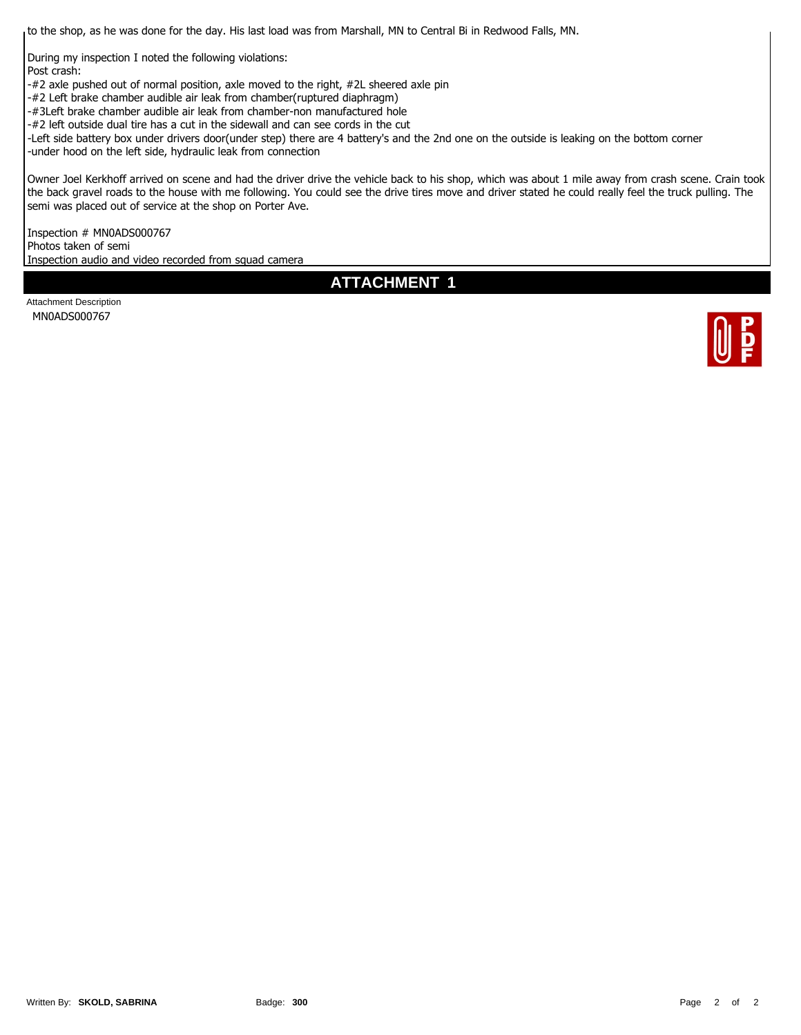to the shop, as he was done for the day. His last load was from Marshall, MN to Central Bi in Redwood Falls, MN.

During my inspection I noted the following violations: Post crash:

-#2 axle pushed out of normal position, axle moved to the right, #2L sheered axle pin

-#2 Left brake chamber audible air leak from chamber(ruptured diaphragm)

-#3Left brake chamber audible air leak from chamber-non manufactured hole

-#2 left outside dual tire has a cut in the sidewall and can see cords in the cut

-Left side battery box under drivers door(under step) there are 4 battery's and the 2nd one on the outside is leaking on the bottom corner

-under hood on the left side, hydraulic leak from connection

Owner Joel Kerkhoff arrived on scene and had the driver drive the vehicle back to his shop, which was about 1 mile away from crash scene. Crain took the back gravel roads to the house with me following. You could see the drive tires move and driver stated he could really feel the truck pulling. The semi was placed out of service at the shop on Porter Ave.

Inspection # MN0ADS000767 Photos taken of semi Inspection audio and video recorded from squad camera

**ATTACHMENT 1**

Attachment Description MN0ADS000767

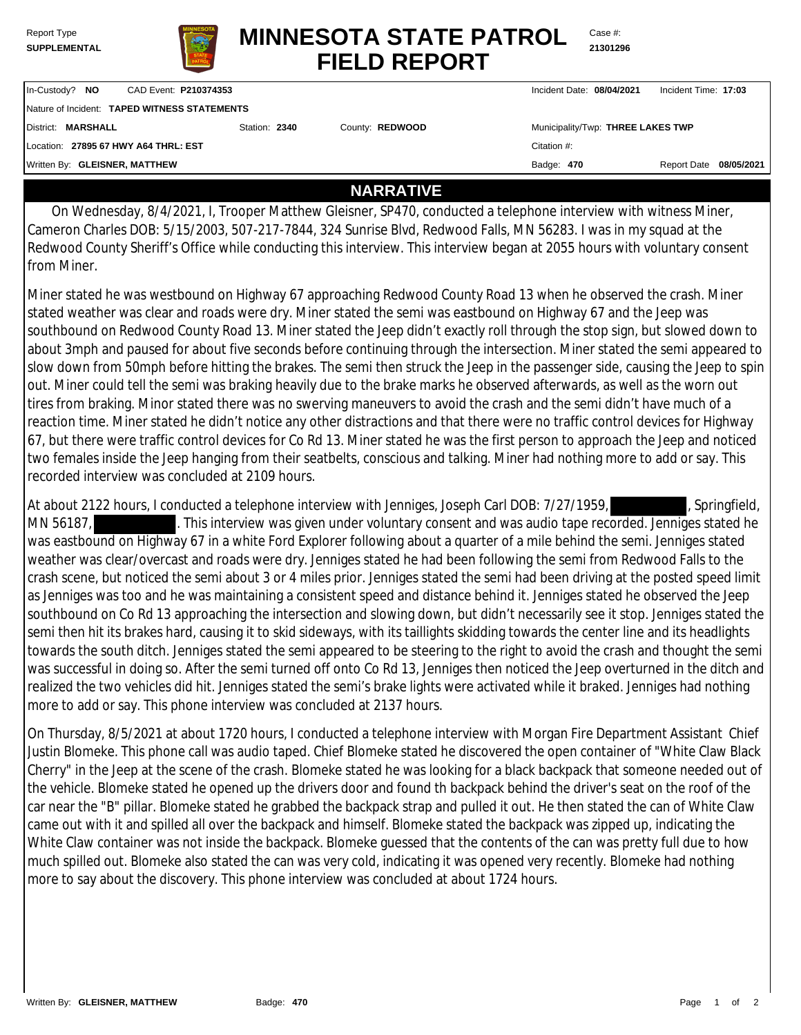| Report Type         |
|---------------------|
| <b>SUPPLEMENTAL</b> |



**FIELD REPORT MINNESOTA STATE PATROL**

Case #: **21301296**

| In-Custody? NO                               | CAD Event: P210374353 |               |                 | Incident Date: 08/04/2021         | Incident Time: 17:03   |  |
|----------------------------------------------|-----------------------|---------------|-----------------|-----------------------------------|------------------------|--|
| Nature of Incident: TAPED WITNESS STATEMENTS |                       |               |                 |                                   |                        |  |
| District: MARSHALL                           |                       | Station: 2340 | County: REDWOOD | Municipality/Twp: THREE LAKES TWP |                        |  |
| Location: 27895 67 HWY A64 THRL: EST         |                       |               |                 | Citation #:                       |                        |  |
| Written By: GLEISNER, MATTHEW                |                       |               |                 | Badge: 470                        | Report Date 08/05/2021 |  |
|                                              |                       |               |                 |                                   |                        |  |

#### **NARRATIVE**

 On Wednesday, 8/4/2021, I, Trooper Matthew Gleisner, SP470, conducted a telephone interview with witness Miner, Cameron Charles DOB: 5/15/2003, 507-217-7844, 324 Sunrise Blvd, Redwood Falls, MN 56283. I was in my squad at the Redwood County Sheriff's Office while conducting this interview. This interview began at 2055 hours with voluntary consent from Miner.

Miner stated he was westbound on Highway 67 approaching Redwood County Road 13 when he observed the crash. Miner stated weather was clear and roads were dry. Miner stated the semi was eastbound on Highway 67 and the Jeep was southbound on Redwood County Road 13. Miner stated the Jeep didn't exactly roll through the stop sign, but slowed down to about 3mph and paused for about five seconds before continuing through the intersection. Miner stated the semi appeared to slow down from 50mph before hitting the brakes. The semi then struck the Jeep in the passenger side, causing the Jeep to spin out. Miner could tell the semi was braking heavily due to the brake marks he observed afterwards, as well as the worn out tires from braking. Minor stated there was no swerving maneuvers to avoid the crash and the semi didn't have much of a reaction time. Miner stated he didn't notice any other distractions and that there were no traffic control devices for Highway 67, but there were traffic control devices for Co Rd 13. Miner stated he was the first person to approach the Jeep and noticed two females inside the Jeep hanging from their seatbelts, conscious and talking. Miner had nothing more to add or say. This recorded interview was concluded at 2109 hours.

At about 2122 hours, I conducted a telephone interview with Jenniges, Joseph Carl DOB: 7/27/1959, Springfield, MN 56187, This interview was given under voluntary consent and was audio tape recorded. Jenniges stated he was eastbound on Highway 67 in a white Ford Explorer following about a quarter of a mile behind the semi. Jenniges stated weather was clear/overcast and roads were dry. Jenniges stated he had been following the semi from Redwood Falls to the crash scene, but noticed the semi about 3 or 4 miles prior. Jenniges stated the semi had been driving at the posted speed limit as Jenniges was too and he was maintaining a consistent speed and distance behind it. Jenniges stated he observed the Jeep southbound on Co Rd 13 approaching the intersection and slowing down, but didn't necessarily see it stop. Jenniges stated the semi then hit its brakes hard, causing it to skid sideways, with its taillights skidding towards the center line and its headlights towards the south ditch. Jenniges stated the semi appeared to be steering to the right to avoid the crash and thought the semi was successful in doing so. After the semi turned off onto Co Rd 13, Jenniges then noticed the Jeep overturned in the ditch and realized the two vehicles did hit. Jenniges stated the semi's brake lights were activated while it braked. Jenniges had nothing more to add or say. This phone interview was concluded at 2137 hours.

On Thursday, 8/5/2021 at about 1720 hours, I conducted a telephone interview with Morgan Fire Department Assistant Chief Justin Blomeke. This phone call was audio taped. Chief Blomeke stated he discovered the open container of "White Claw Black Cherry" in the Jeep at the scene of the crash. Blomeke stated he was looking for a black backpack that someone needed out of the vehicle. Blomeke stated he opened up the drivers door and found th backpack behind the driver's seat on the roof of the car near the "B" pillar. Blomeke stated he grabbed the backpack strap and pulled it out. He then stated the can of White Claw came out with it and spilled all over the backpack and himself. Blomeke stated the backpack was zipped up, indicating the White Claw container was not inside the backpack. Blomeke guessed that the contents of the can was pretty full due to how much spilled out. Blomeke also stated the can was very cold, indicating it was opened very recently. Blomeke had nothing more to say about the discovery. This phone interview was concluded at about 1724 hours.